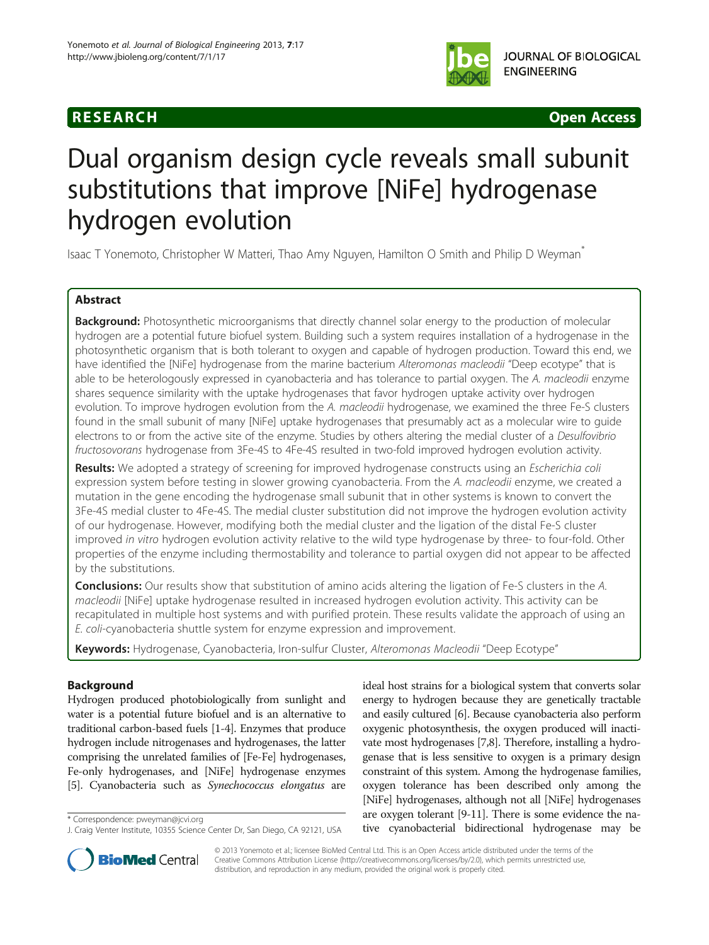

**RESEARCH CHINESE ARCH CHINESE ARCH CHINESE ARCH** 

# Dual organism design cycle reveals small subunit substitutions that improve [NiFe] hydrogenase hydrogen evolution

Isaac T Yonemoto, Christopher W Matteri, Thao Amy Nguyen, Hamilton O Smith and Philip D Weyman<sup>\*</sup>

# Abstract

Background: Photosynthetic microorganisms that directly channel solar energy to the production of molecular hydrogen are a potential future biofuel system. Building such a system requires installation of a hydrogenase in the photosynthetic organism that is both tolerant to oxygen and capable of hydrogen production. Toward this end, we have identified the [NiFe] hydrogenase from the marine bacterium Alteromonas macleodii "Deep ecotype" that is able to be heterologously expressed in cyanobacteria and has tolerance to partial oxygen. The A. macleodii enzyme shares sequence similarity with the uptake hydrogenases that favor hydrogen uptake activity over hydrogen evolution. To improve hydrogen evolution from the A. macleodii hydrogenase, we examined the three Fe-S clusters found in the small subunit of many [NiFe] uptake hydrogenases that presumably act as a molecular wire to guide electrons to or from the active site of the enzyme. Studies by others altering the medial cluster of a Desulfovibrio fructosovorans hydrogenase from 3Fe-4S to 4Fe-4S resulted in two-fold improved hydrogen evolution activity.

Results: We adopted a strategy of screening for improved hydrogenase constructs using an Escherichia coli expression system before testing in slower growing cyanobacteria. From the A. macleodii enzyme, we created a mutation in the gene encoding the hydrogenase small subunit that in other systems is known to convert the 3Fe-4S medial cluster to 4Fe-4S. The medial cluster substitution did not improve the hydrogen evolution activity of our hydrogenase. However, modifying both the medial cluster and the ligation of the distal Fe-S cluster improved in vitro hydrogen evolution activity relative to the wild type hydrogenase by three- to four-fold. Other properties of the enzyme including thermostability and tolerance to partial oxygen did not appear to be affected by the substitutions.

**Conclusions:** Our results show that substitution of amino acids altering the ligation of Fe-S clusters in the A. macleodii [NiFe] uptake hydrogenase resulted in increased hydrogen evolution activity. This activity can be recapitulated in multiple host systems and with purified protein. These results validate the approach of using an E. coli-cyanobacteria shuttle system for enzyme expression and improvement.

Keywords: Hydrogenase, Cyanobacteria, Iron-sulfur Cluster, Alteromonas Macleodii "Deep Ecotype"

# Background

Hydrogen produced photobiologically from sunlight and water is a potential future biofuel and is an alternative to traditional carbon-based fuels [[1](#page-9-0)-[4](#page-9-0)]. Enzymes that produce hydrogen include nitrogenases and hydrogenases, the latter comprising the unrelated families of [Fe-Fe] hydrogenases, Fe-only hydrogenases, and [NiFe] hydrogenase enzymes [[5](#page-9-0)]. Cyanobacteria such as Synechococcus elongatus are

ideal host strains for a biological system that converts solar energy to hydrogen because they are genetically tractable and easily cultured [[6](#page-9-0)]. Because cyanobacteria also perform oxygenic photosynthesis, the oxygen produced will inactivate most hydrogenases [\[7,8\]](#page-9-0). Therefore, installing a hydrogenase that is less sensitive to oxygen is a primary design constraint of this system. Among the hydrogenase families, oxygen tolerance has been described only among the [NiFe] hydrogenases, although not all [NiFe] hydrogenases are oxygen tolerant [\[9](#page-9-0)-[11](#page-9-0)]. There is some evidence the native correspondence: [pweyman@jcvi.org](mailto:pweyman@jcvi.org)<br>I. Craig Venter Institute, 10355 Science Center Dr, San Diego, CA 92121, USA tive cyanobacterial bidirectional hydrogenase may be



© 2013 Yonemoto et al.; licensee BioMed Central Ltd. This is an Open Access article distributed under the terms of the Creative Commons Attribution License (<http://creativecommons.org/licenses/by/2.0>), which permits unrestricted use, distribution, and reproduction in any medium, provided the original work is properly cited.

J. Craig Venter Institute, 10355 Science Center Dr, San Diego, CA 92121, USA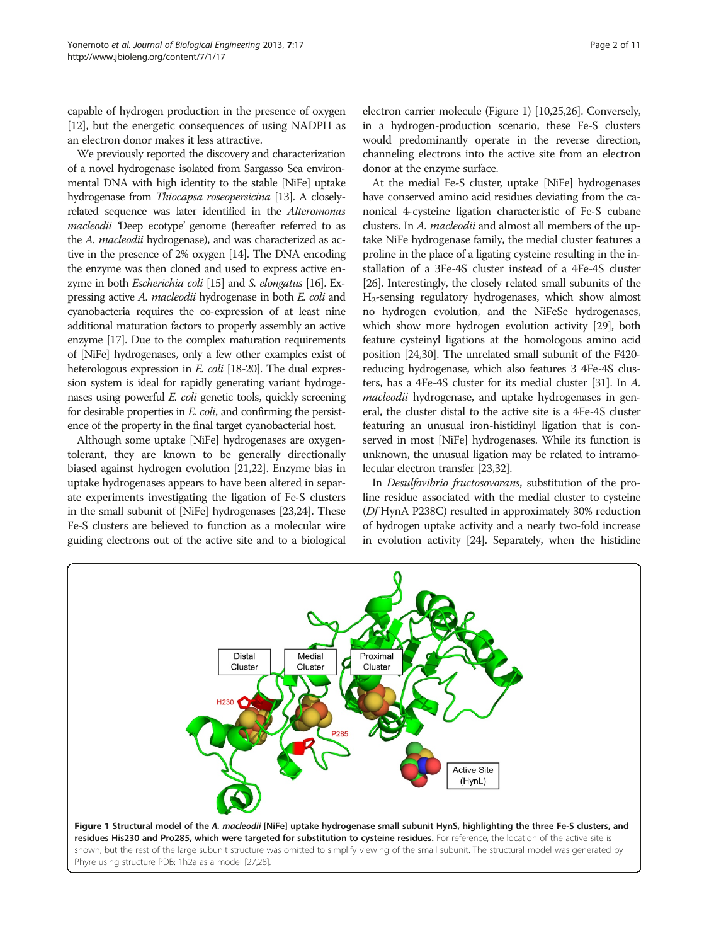capable of hydrogen production in the presence of oxygen [[12](#page-9-0)], but the energetic consequences of using NADPH as an electron donor makes it less attractive.

We previously reported the discovery and characterization of a novel hydrogenase isolated from Sargasso Sea environmental DNA with high identity to the stable [NiFe] uptake hydrogenase from Thiocapsa roseopersicina [[13](#page-9-0)]. A closelyrelated sequence was later identified in the Alteromonas macleodii 'Deep ecotype' genome (hereafter referred to as the A. macleodii hydrogenase), and was characterized as active in the presence of 2% oxygen [\[14](#page-9-0)]. The DNA encoding the enzyme was then cloned and used to express active enzyme in both Escherichia coli [\[15\]](#page-9-0) and S. elongatus [\[16](#page-9-0)]. Expressing active A. macleodii hydrogenase in both E. coli and cyanobacteria requires the co-expression of at least nine additional maturation factors to properly assembly an active enzyme [[17\]](#page-9-0). Due to the complex maturation requirements of [NiFe] hydrogenases, only a few other examples exist of heterologous expression in *E. coli* [[18-20\]](#page-9-0). The dual expression system is ideal for rapidly generating variant hydrogenases using powerful E. coli genetic tools, quickly screening for desirable properties in E. coli, and confirming the persistence of the property in the final target cyanobacterial host.

Although some uptake [NiFe] hydrogenases are oxygentolerant, they are known to be generally directionally biased against hydrogen evolution [[21,22\]](#page-9-0). Enzyme bias in uptake hydrogenases appears to have been altered in separate experiments investigating the ligation of Fe-S clusters in the small subunit of [NiFe] hydrogenases [[23](#page-9-0)[,24\]](#page-10-0). These Fe-S clusters are believed to function as a molecular wire guiding electrons out of the active site and to a biological

electron carrier molecule (Figure 1) [\[10](#page-9-0)[,25,26\]](#page-10-0). Conversely, in a hydrogen-production scenario, these Fe-S clusters would predominantly operate in the reverse direction, channeling electrons into the active site from an electron donor at the enzyme surface.

At the medial Fe-S cluster, uptake [NiFe] hydrogenases have conserved amino acid residues deviating from the canonical 4-cysteine ligation characteristic of Fe-S cubane clusters. In A. macleodii and almost all members of the uptake NiFe hydrogenase family, the medial cluster features a proline in the place of a ligating cysteine resulting in the installation of a 3Fe-4S cluster instead of a 4Fe-4S cluster [[26](#page-10-0)]. Interestingly, the closely related small subunits of the H2-sensing regulatory hydrogenases, which show almost no hydrogen evolution, and the NiFeSe hydrogenases, which show more hydrogen evolution activity [\[29\]](#page-10-0), both feature cysteinyl ligations at the homologous amino acid position [[24,30\]](#page-10-0). The unrelated small subunit of the F420 reducing hydrogenase, which also features 3 4Fe-4S clusters, has a 4Fe-4S cluster for its medial cluster [\[31\]](#page-10-0). In A. macleodii hydrogenase, and uptake hydrogenases in general, the cluster distal to the active site is a 4Fe-4S cluster featuring an unusual iron-histidinyl ligation that is conserved in most [NiFe] hydrogenases. While its function is unknown, the unusual ligation may be related to intramolecular electron transfer [\[23,](#page-9-0)[32](#page-10-0)].

In Desulfovibrio fructosovorans, substitution of the proline residue associated with the medial cluster to cysteine (Df HynA P238C) resulted in approximately 30% reduction of hydrogen uptake activity and a nearly two-fold increase in evolution activity [\[24](#page-10-0)]. Separately, when the histidine

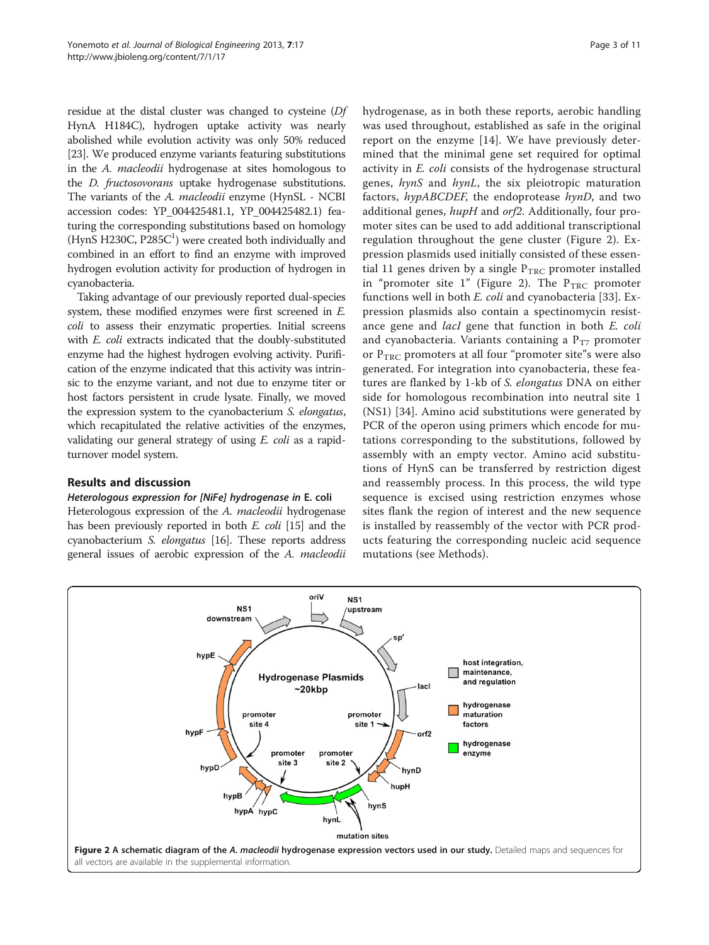<span id="page-2-0"></span>residue at the distal cluster was changed to cysteine (Df HynA H184C), hydrogen uptake activity was nearly abolished while evolution activity was only 50% reduced [[23](#page-9-0)]. We produced enzyme variants featuring substitutions in the A. macleodii hydrogenase at sites homologous to the D. fructosovorans uptake hydrogenase substitutions. The variants of the A. macleodii enzyme (HynSL - NCBI accession codes: YP\_004425481.1, YP\_004425482.1) featuring the corresponding substitutions based on homology (HynS H230C, P285C<sup>1</sup>) were created both individually and combined in an effort to find an enzyme with improved hydrogen evolution activity for production of hydrogen in cyanobacteria.

Taking advantage of our previously reported dual-species system, these modified enzymes were first screened in E. coli to assess their enzymatic properties. Initial screens with E. coli extracts indicated that the doubly-substituted enzyme had the highest hydrogen evolving activity. Purification of the enzyme indicated that this activity was intrinsic to the enzyme variant, and not due to enzyme titer or host factors persistent in crude lysate. Finally, we moved the expression system to the cyanobacterium S. elongatus, which recapitulated the relative activities of the enzymes, validating our general strategy of using E. coli as a rapidturnover model system.

# Results and discussion

# Heterologous expression for [NiFe] hydrogenase in E. coli

Heterologous expression of the A. macleodii hydrogenase has been previously reported in both *E. coli* [\[15\]](#page-9-0) and the cyanobacterium S. elongatus [\[16\]](#page-9-0). These reports address general issues of aerobic expression of the A. macleodii hydrogenase, as in both these reports, aerobic handling was used throughout, established as safe in the original report on the enzyme [[14\]](#page-9-0). We have previously determined that the minimal gene set required for optimal activity in E. coli consists of the hydrogenase structural genes, hynS and hynL, the six pleiotropic maturation factors, hypABCDEF, the endoprotease hynD, and two additional genes, hupH and orf2. Additionally, four promoter sites can be used to add additional transcriptional regulation throughout the gene cluster (Figure 2). Expression plasmids used initially consisted of these essential 11 genes driven by a single  $P_{TRC}$  promoter installed in "promoter site 1" (Figure 2). The  $P_{TRC}$  promoter functions well in both E. coli and cyanobacteria [\[33](#page-10-0)]. Expression plasmids also contain a spectinomycin resistance gene and *lacI* gene that function in both *E. coli* and cyanobacteria. Variants containing a  $P_{T7}$  promoter or  $P_{TRC}$  promoters at all four "promoter site"s were also generated. For integration into cyanobacteria, these features are flanked by 1-kb of S. elongatus DNA on either side for homologous recombination into neutral site 1 (NS1) [\[34](#page-10-0)]. Amino acid substitutions were generated by PCR of the operon using primers which encode for mutations corresponding to the substitutions, followed by assembly with an empty vector. Amino acid substitutions of HynS can be transferred by restriction digest and reassembly process. In this process, the wild type sequence is excised using restriction enzymes whose sites flank the region of interest and the new sequence is installed by reassembly of the vector with PCR products featuring the corresponding nucleic acid sequence mutations (see [Methods\)](#page-6-0).

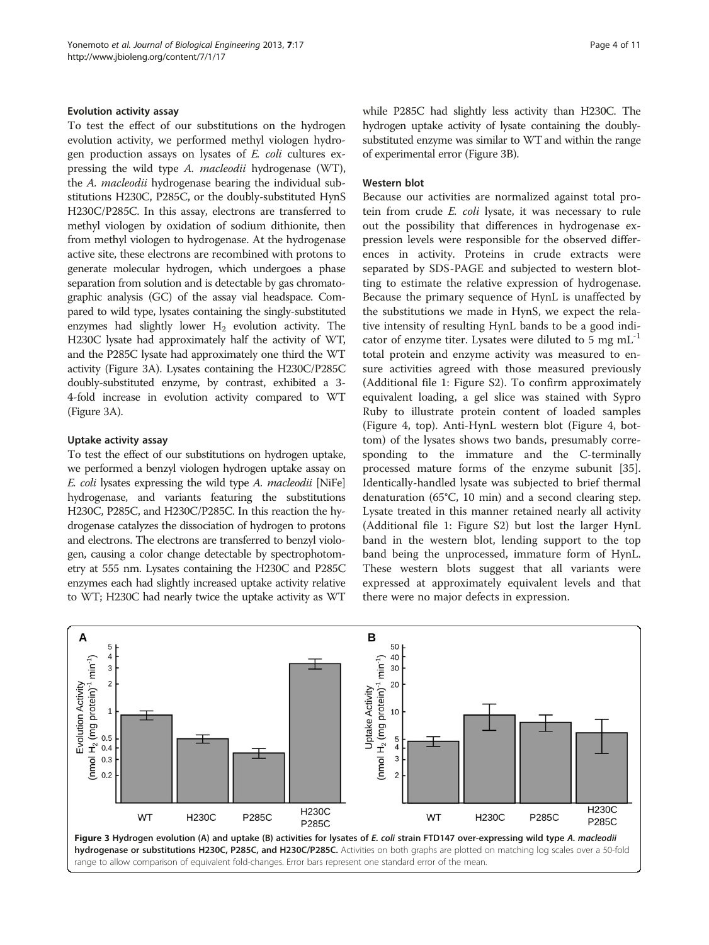#### Evolution activity assay

To test the effect of our substitutions on the hydrogen evolution activity, we performed methyl viologen hydrogen production assays on lysates of E. coli cultures expressing the wild type A. macleodii hydrogenase (WT), the A. macleodii hydrogenase bearing the individual substitutions H230C, P285C, or the doubly-substituted HynS H230C/P285C. In this assay, electrons are transferred to methyl viologen by oxidation of sodium dithionite, then from methyl viologen to hydrogenase. At the hydrogenase active site, these electrons are recombined with protons to generate molecular hydrogen, which undergoes a phase separation from solution and is detectable by gas chromatographic analysis (GC) of the assay vial headspace. Compared to wild type, lysates containing the singly-substituted enzymes had slightly lower  $H_2$  evolution activity. The H230C lysate had approximately half the activity of WT, and the P285C lysate had approximately one third the WT activity (Figure 3A). Lysates containing the H230C/P285C doubly-substituted enzyme, by contrast, exhibited a 3- 4-fold increase in evolution activity compared to WT (Figure 3A).

#### Uptake activity assay

To test the effect of our substitutions on hydrogen uptake, we performed a benzyl viologen hydrogen uptake assay on E. coli lysates expressing the wild type A. macleodii [NiFe] hydrogenase, and variants featuring the substitutions H230C, P285C, and H230C/P285C. In this reaction the hydrogenase catalyzes the dissociation of hydrogen to protons and electrons. The electrons are transferred to benzyl viologen, causing a color change detectable by spectrophotometry at 555 nm. Lysates containing the H230C and P285C enzymes each had slightly increased uptake activity relative to WT; H230C had nearly twice the uptake activity as WT while P285C had slightly less activity than H230C. The hydrogen uptake activity of lysate containing the doublysubstituted enzyme was similar to WT and within the range of experimental error (Figure 3B).

#### Western blot

Because our activities are normalized against total protein from crude E. coli lysate, it was necessary to rule out the possibility that differences in hydrogenase expression levels were responsible for the observed differences in activity. Proteins in crude extracts were separated by SDS-PAGE and subjected to western blotting to estimate the relative expression of hydrogenase. Because the primary sequence of HynL is unaffected by the substitutions we made in HynS, we expect the relative intensity of resulting HynL bands to be a good indicator of enzyme titer. Lysates were diluted to 5 mg  $mL^{-1}$ total protein and enzyme activity was measured to ensure activities agreed with those measured previously (Additional file [1:](#page-9-0) Figure S2). To confirm approximately equivalent loading, a gel slice was stained with Sypro Ruby to illustrate protein content of loaded samples (Figure [4,](#page-4-0) top). Anti-HynL western blot (Figure [4](#page-4-0), bottom) of the lysates shows two bands, presumably corresponding to the immature and the C-terminally processed mature forms of the enzyme subunit [\[35](#page-10-0)]. Identically-handled lysate was subjected to brief thermal denaturation (65°C, 10 min) and a second clearing step. Lysate treated in this manner retained nearly all activity (Additional file [1:](#page-9-0) Figure S2) but lost the larger HynL band in the western blot, lending support to the top band being the unprocessed, immature form of HynL. These western blots suggest that all variants were expressed at approximately equivalent levels and that there were no major defects in expression.

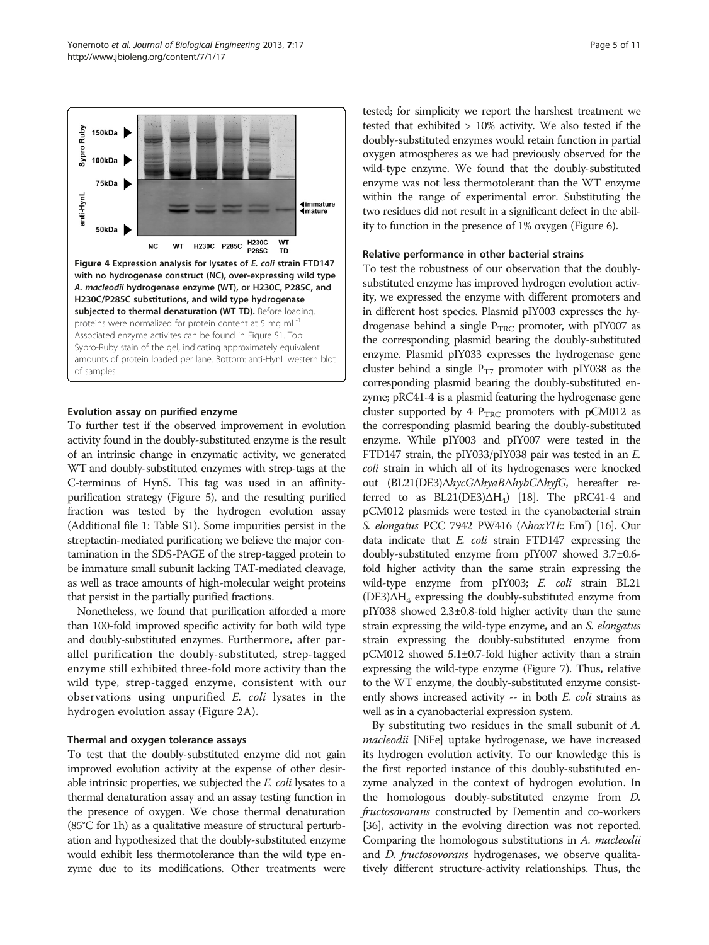

<span id="page-4-0"></span>

#### Evolution assay on purified enzyme

To further test if the observed improvement in evolution activity found in the doubly-substituted enzyme is the result of an intrinsic change in enzymatic activity, we generated WT and doubly-substituted enzymes with strep-tags at the C-terminus of HynS. This tag was used in an affinitypurification strategy (Figure [5](#page-5-0)), and the resulting purified fraction was tested by the hydrogen evolution assay (Additional file [1:](#page-9-0) Table S1). Some impurities persist in the streptactin-mediated purification; we believe the major contamination in the SDS-PAGE of the strep-tagged protein to be immature small subunit lacking TAT-mediated cleavage, as well as trace amounts of high-molecular weight proteins that persist in the partially purified fractions.

Nonetheless, we found that purification afforded a more than 100-fold improved specific activity for both wild type and doubly-substituted enzymes. Furthermore, after parallel purification the doubly-substituted, strep-tagged enzyme still exhibited three-fold more activity than the wild type, strep-tagged enzyme, consistent with our observations using unpurified E. coli lysates in the hydrogen evolution assay (Figure [2](#page-2-0)A).

#### Thermal and oxygen tolerance assays

To test that the doubly-substituted enzyme did not gain improved evolution activity at the expense of other desirable intrinsic properties, we subjected the *E. coli* lysates to a thermal denaturation assay and an assay testing function in the presence of oxygen. We chose thermal denaturation (85°C for 1h) as a qualitative measure of structural perturbation and hypothesized that the doubly-substituted enzyme would exhibit less thermotolerance than the wild type enzyme due to its modifications. Other treatments were tested; for simplicity we report the harshest treatment we tested that exhibited > 10% activity. We also tested if the doubly-substituted enzymes would retain function in partial oxygen atmospheres as we had previously observed for the wild-type enzyme. We found that the doubly-substituted enzyme was not less thermotolerant than the WT enzyme within the range of experimental error. Substituting the two residues did not result in a significant defect in the ability to function in the presence of 1% oxygen (Figure [6](#page-6-0)).

#### Relative performance in other bacterial strains

To test the robustness of our observation that the doublysubstituted enzyme has improved hydrogen evolution activity, we expressed the enzyme with different promoters and in different host species. Plasmid pIY003 expresses the hydrogenase behind a single  $P_{TRC}$  promoter, with pIY007 as the corresponding plasmid bearing the doubly-substituted enzyme. Plasmid pIY033 expresses the hydrogenase gene cluster behind a single  $P_{T7}$  promoter with pIY038 as the corresponding plasmid bearing the doubly-substituted enzyme; pRC41-4 is a plasmid featuring the hydrogenase gene cluster supported by 4  $P_{TRC}$  promoters with pCM012 as the corresponding plasmid bearing the doubly-substituted enzyme. While pIY003 and pIY007 were tested in the FTD147 strain, the pIY033/pIY038 pair was tested in an E. coli strain in which all of its hydrogenases were knocked out (BL21(DE3)ΔhycGΔhyaBΔhybCΔhyfG, hereafter referred to as  $BL21(DE3)\Delta H_4$ ) [\[18\]](#page-9-0). The pRC41-4 and pCM012 plasmids were tested in the cyanobacterial strain S. elongatus PCC 7942 PW416 (ΔhoxYH:: Em<sup>r</sup>) [\[16](#page-9-0)]. Our data indicate that E. coli strain FTD147 expressing the doubly-substituted enzyme from pIY007 showed 3.7±0.6 fold higher activity than the same strain expressing the wild-type enzyme from pIY003; E. coli strain BL21  $(DE3)\Delta H_4$  expressing the doubly-substituted enzyme from pIY038 showed 2.3±0.8-fold higher activity than the same strain expressing the wild-type enzyme, and an S. elongatus strain expressing the doubly-substituted enzyme from pCM012 showed 5.1±0.7-fold higher activity than a strain expressing the wild-type enzyme (Figure [7](#page-6-0)). Thus, relative to the WT enzyme, the doubly-substituted enzyme consistently shows increased activity -- in both E. coli strains as well as in a cyanobacterial expression system.

By substituting two residues in the small subunit of A. *macleodii* [NiFe] uptake hydrogenase, we have increased its hydrogen evolution activity. To our knowledge this is the first reported instance of this doubly-substituted enzyme analyzed in the context of hydrogen evolution. In the homologous doubly-substituted enzyme from D. fructosovorans constructed by Dementin and co-workers [[36](#page-10-0)], activity in the evolving direction was not reported. Comparing the homologous substitutions in A. macleodii and *D. fructosovorans* hydrogenases, we observe qualitatively different structure-activity relationships. Thus, the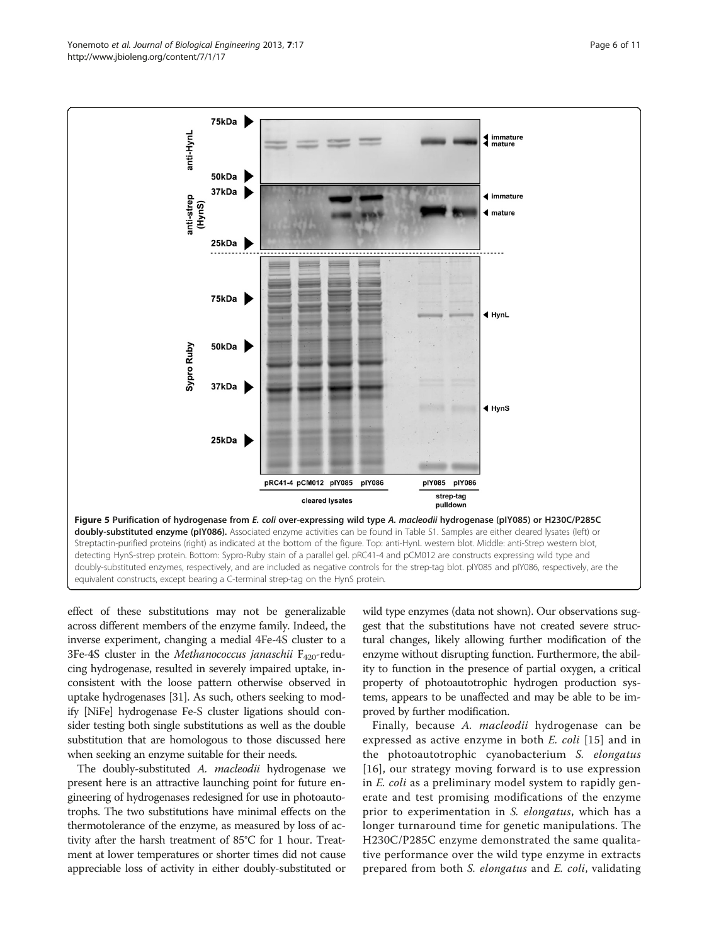<span id="page-5-0"></span>

effect of these substitutions may not be generalizable across different members of the enzyme family. Indeed, the inverse experiment, changing a medial 4Fe-4S cluster to a 3Fe-4S cluster in the Methanococcus janaschii  $F_{420}$ -reducing hydrogenase, resulted in severely impaired uptake, inconsistent with the loose pattern otherwise observed in uptake hydrogenases [[31](#page-10-0)]. As such, others seeking to modify [NiFe] hydrogenase Fe-S cluster ligations should consider testing both single substitutions as well as the double substitution that are homologous to those discussed here when seeking an enzyme suitable for their needs.

The doubly-substituted A. macleodii hydrogenase we present here is an attractive launching point for future engineering of hydrogenases redesigned for use in photoautotrophs. The two substitutions have minimal effects on the thermotolerance of the enzyme, as measured by loss of activity after the harsh treatment of 85°C for 1 hour. Treatment at lower temperatures or shorter times did not cause appreciable loss of activity in either doubly-substituted or wild type enzymes (data not shown). Our observations suggest that the substitutions have not created severe structural changes, likely allowing further modification of the enzyme without disrupting function. Furthermore, the ability to function in the presence of partial oxygen, a critical property of photoautotrophic hydrogen production systems, appears to be unaffected and may be able to be improved by further modification.

Finally, because A. macleodii hydrogenase can be expressed as active enzyme in both *E. coli* [[15](#page-9-0)] and in the photoautotrophic cyanobacterium S. elongatus [[16](#page-9-0)], our strategy moving forward is to use expression in E. coli as a preliminary model system to rapidly generate and test promising modifications of the enzyme prior to experimentation in S. elongatus, which has a longer turnaround time for genetic manipulations. The H230C/P285C enzyme demonstrated the same qualitative performance over the wild type enzyme in extracts prepared from both S. elongatus and E. coli, validating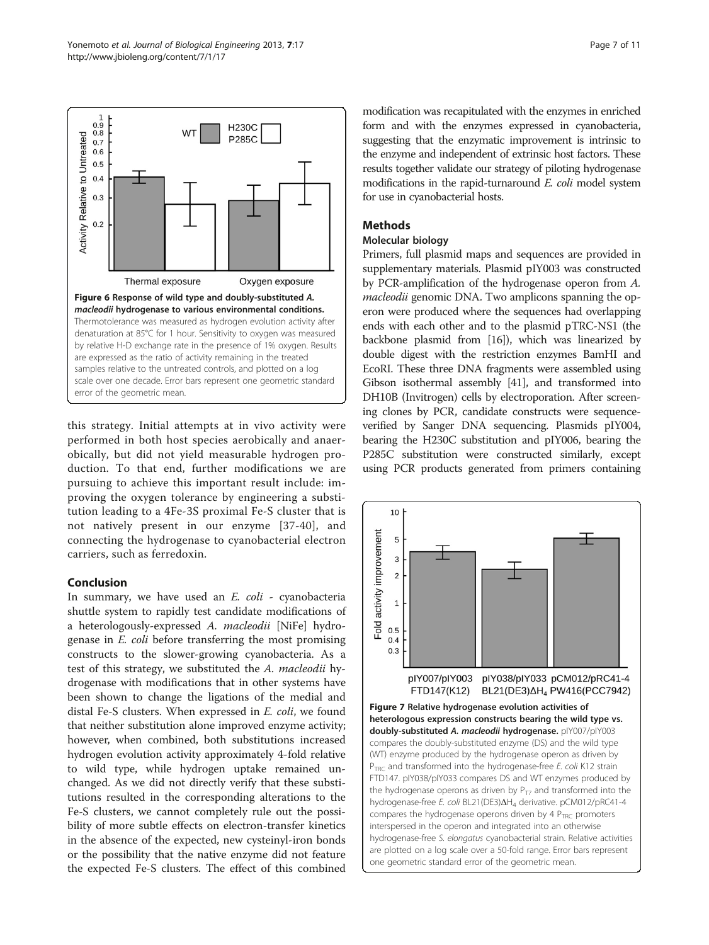<span id="page-6-0"></span>

this strategy. Initial attempts at in vivo activity were performed in both host species aerobically and anaerobically, but did not yield measurable hydrogen production. To that end, further modifications we are pursuing to achieve this important result include: improving the oxygen tolerance by engineering a substitution leading to a 4Fe-3S proximal Fe-S cluster that is not natively present in our enzyme [[37](#page-10-0)-[40](#page-10-0)], and connecting the hydrogenase to cyanobacterial electron carriers, such as ferredoxin.

# Conclusion

In summary, we have used an E. coli - cyanobacteria shuttle system to rapidly test candidate modifications of a heterologously-expressed A. macleodii [NiFe] hydrogenase in E. coli before transferring the most promising constructs to the slower-growing cyanobacteria. As a test of this strategy, we substituted the A. macleodii hydrogenase with modifications that in other systems have been shown to change the ligations of the medial and distal Fe-S clusters. When expressed in E. coli, we found that neither substitution alone improved enzyme activity; however, when combined, both substitutions increased hydrogen evolution activity approximately 4-fold relative to wild type, while hydrogen uptake remained unchanged. As we did not directly verify that these substitutions resulted in the corresponding alterations to the Fe-S clusters, we cannot completely rule out the possibility of more subtle effects on electron-transfer kinetics in the absence of the expected, new cysteinyl-iron bonds or the possibility that the native enzyme did not feature the expected Fe-S clusters. The effect of this combined

modification was recapitulated with the enzymes in enriched form and with the enzymes expressed in cyanobacteria, suggesting that the enzymatic improvement is intrinsic to the enzyme and independent of extrinsic host factors. These results together validate our strategy of piloting hydrogenase modifications in the rapid-turnaround E. coli model system for use in cyanobacterial hosts.

# **Methods**

# Molecular biology

Primers, full plasmid maps and sequences are provided in supplementary materials. Plasmid pIY003 was constructed by PCR-amplification of the hydrogenase operon from A. macleodii genomic DNA. Two amplicons spanning the operon were produced where the sequences had overlapping ends with each other and to the plasmid pTRC-NS1 (the backbone plasmid from [[16](#page-9-0)]), which was linearized by double digest with the restriction enzymes BamHI and EcoRI. These three DNA fragments were assembled using Gibson isothermal assembly [\[41\]](#page-10-0), and transformed into DH10B (Invitrogen) cells by electroporation. After screening clones by PCR, candidate constructs were sequenceverified by Sanger DNA sequencing. Plasmids pIY004, bearing the H230C substitution and pIY006, bearing the P285C substitution were constructed similarly, except using PCR products generated from primers containing

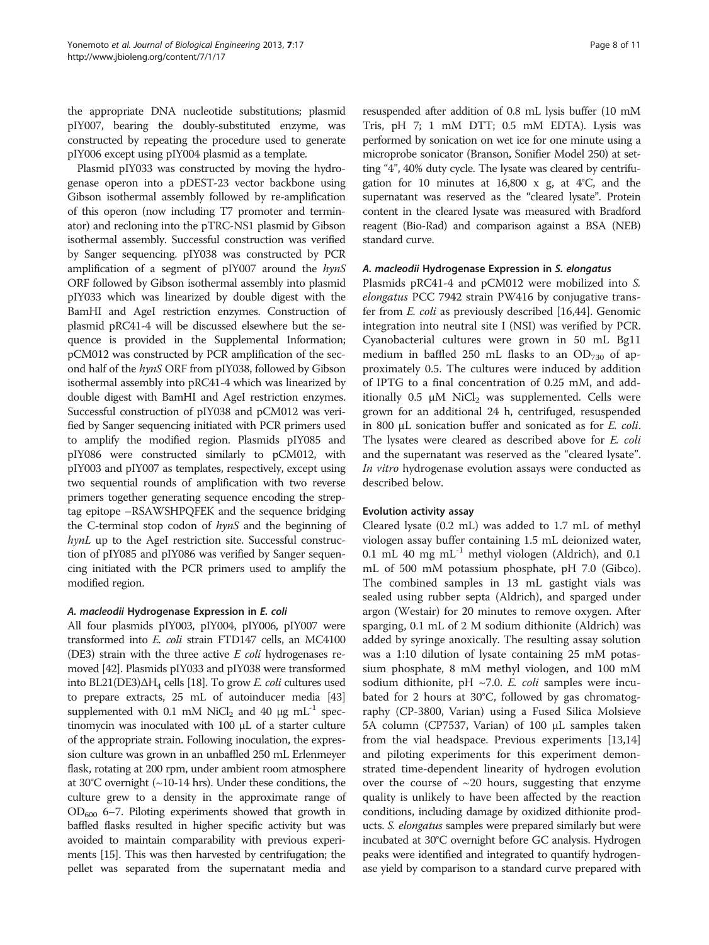the appropriate DNA nucleotide substitutions; plasmid pIY007, bearing the doubly-substituted enzyme, was constructed by repeating the procedure used to generate pIY006 except using pIY004 plasmid as a template.

Plasmid pIY033 was constructed by moving the hydrogenase operon into a pDEST-23 vector backbone using Gibson isothermal assembly followed by re-amplification of this operon (now including T7 promoter and terminator) and recloning into the pTRC-NS1 plasmid by Gibson isothermal assembly. Successful construction was verified by Sanger sequencing. pIY038 was constructed by PCR amplification of a segment of pIY007 around the hynS ORF followed by Gibson isothermal assembly into plasmid pIY033 which was linearized by double digest with the BamHI and AgeI restriction enzymes. Construction of plasmid pRC41-4 will be discussed elsewhere but the sequence is provided in the Supplemental Information; pCM012 was constructed by PCR amplification of the second half of the hynS ORF from pIY038, followed by Gibson isothermal assembly into pRC41-4 which was linearized by double digest with BamHI and AgeI restriction enzymes. Successful construction of pIY038 and pCM012 was verified by Sanger sequencing initiated with PCR primers used to amplify the modified region. Plasmids pIY085 and pIY086 were constructed similarly to pCM012, with pIY003 and pIY007 as templates, respectively, except using two sequential rounds of amplification with two reverse primers together generating sequence encoding the streptag epitope –RSAWSHPQFEK and the sequence bridging the C-terminal stop codon of hynS and the beginning of hynL up to the AgeI restriction site. Successful construction of pIY085 and pIY086 was verified by Sanger sequencing initiated with the PCR primers used to amplify the modified region.

# A. macleodii Hydrogenase Expression in E. coli

All four plasmids pIY003, pIY004, pIY006, pIY007 were transformed into E. coli strain FTD147 cells, an MC4100 (DE3) strain with the three active  $E$  coli hydrogenases removed [[42](#page-10-0)]. Plasmids pIY033 and pIY038 were transformed into BL21(DE3) $\Delta H_4$  cells [\[18\]](#page-9-0). To grow *E. coli* cultures used to prepare extracts, 25 mL of autoinducer media [\[43](#page-10-0)] supplemented with 0.1 mM NiCl<sub>2</sub> and 40  $\mu$ g mL<sup>-1</sup> spectinomycin was inoculated with 100 μL of a starter culture of the appropriate strain. Following inoculation, the expression culture was grown in an unbaffled 250 mL Erlenmeyer flask, rotating at 200 rpm, under ambient room atmosphere at  $30^{\circ}$ C overnight (~10-14 hrs). Under these conditions, the culture grew to a density in the approximate range of  $OD_{600}$  6–7. Piloting experiments showed that growth in baffled flasks resulted in higher specific activity but was avoided to maintain comparability with previous experiments [\[15\]](#page-9-0). This was then harvested by centrifugation; the pellet was separated from the supernatant media and resuspended after addition of 0.8 mL lysis buffer (10 mM Tris, pH 7; 1 mM DTT; 0.5 mM EDTA). Lysis was performed by sonication on wet ice for one minute using a microprobe sonicator (Branson, Sonifier Model 250) at setting "4", 40% duty cycle. The lysate was cleared by centrifugation for 10 minutes at  $16,800 \times g$ , at  $4^{\circ}C$ , and the supernatant was reserved as the "cleared lysate". Protein content in the cleared lysate was measured with Bradford reagent (Bio-Rad) and comparison against a BSA (NEB) standard curve.

#### A. macleodii Hydrogenase Expression in S. elongatus

Plasmids pRC41-4 and pCM012 were mobilized into S. elongatus PCC 7942 strain PW416 by conjugative transfer from E. coli as previously described [\[16,](#page-9-0)[44\]](#page-10-0). Genomic integration into neutral site I (NSI) was verified by PCR. Cyanobacterial cultures were grown in 50 mL Bg11 medium in baffled 250 mL flasks to an  $OD_{730}$  of approximately 0.5. The cultures were induced by addition of IPTG to a final concentration of 0.25 mM, and additionally 0.5  $\mu$ M NiCl<sub>2</sub> was supplemented. Cells were grown for an additional 24 h, centrifuged, resuspended in 800 μL sonication buffer and sonicated as for E. coli. The lysates were cleared as described above for E. coli and the supernatant was reserved as the "cleared lysate". In vitro hydrogenase evolution assays were conducted as described below.

# Evolution activity assay

Cleared lysate (0.2 mL) was added to 1.7 mL of methyl viologen assay buffer containing 1.5 mL deionized water, 0.1 mL 40 mg  $mL^{-1}$  methyl viologen (Aldrich), and 0.1 mL of 500 mM potassium phosphate, pH 7.0 (Gibco). The combined samples in 13 mL gastight vials was sealed using rubber septa (Aldrich), and sparged under argon (Westair) for 20 minutes to remove oxygen. After sparging, 0.1 mL of 2 M sodium dithionite (Aldrich) was added by syringe anoxically. The resulting assay solution was a 1:10 dilution of lysate containing 25 mM potassium phosphate, 8 mM methyl viologen, and 100 mM sodium dithionite, pH  $\sim$ 7.0. E. coli samples were incubated for 2 hours at 30°C, followed by gas chromatography (CP-3800, Varian) using a Fused Silica Molsieve 5A column (CP7537, Varian) of 100 μL samples taken from the vial headspace. Previous experiments [[13](#page-9-0),[14](#page-9-0)] and piloting experiments for this experiment demonstrated time-dependent linearity of hydrogen evolution over the course of  $\sim$ 20 hours, suggesting that enzyme quality is unlikely to have been affected by the reaction conditions, including damage by oxidized dithionite products. S. elongatus samples were prepared similarly but were incubated at 30°C overnight before GC analysis. Hydrogen peaks were identified and integrated to quantify hydrogenase yield by comparison to a standard curve prepared with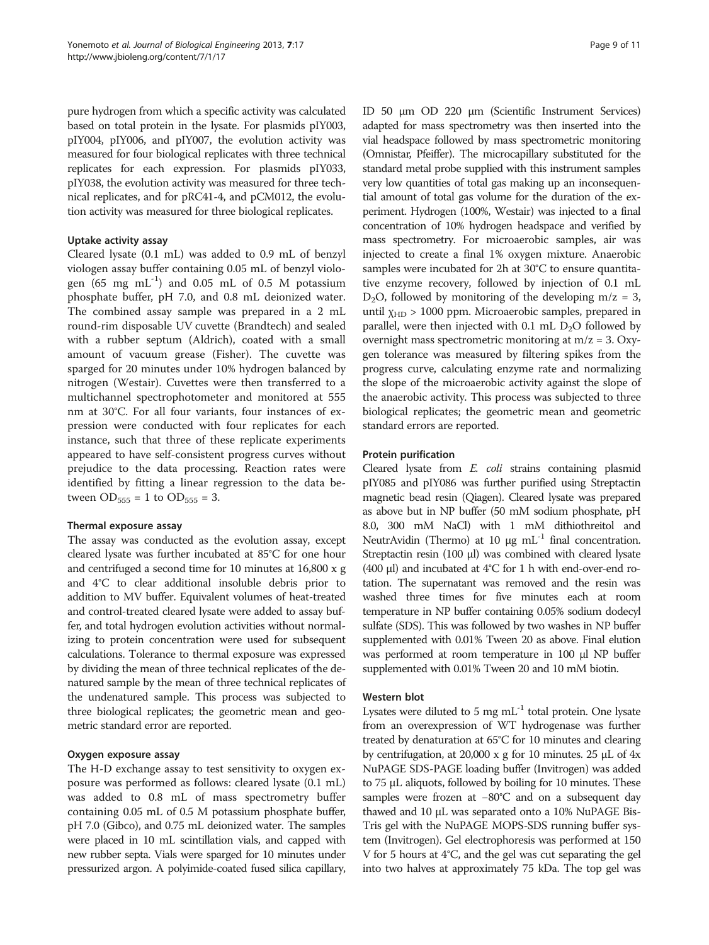pure hydrogen from which a specific activity was calculated based on total protein in the lysate. For plasmids pIY003, pIY004, pIY006, and pIY007, the evolution activity was measured for four biological replicates with three technical replicates for each expression. For plasmids pIY033, pIY038, the evolution activity was measured for three technical replicates, and for pRC41-4, and pCM012, the evolution activity was measured for three biological replicates.

### Uptake activity assay

Cleared lysate (0.1 mL) was added to 0.9 mL of benzyl viologen assay buffer containing 0.05 mL of benzyl viologen  $(65 \text{ mg} \text{ mL}^{-1})$  and  $0.05 \text{ mL}$  of 0.5 M potassium phosphate buffer, pH 7.0, and 0.8 mL deionized water. The combined assay sample was prepared in a 2 mL round-rim disposable UV cuvette (Brandtech) and sealed with a rubber septum (Aldrich), coated with a small amount of vacuum grease (Fisher). The cuvette was sparged for 20 minutes under 10% hydrogen balanced by nitrogen (Westair). Cuvettes were then transferred to a multichannel spectrophotometer and monitored at 555 nm at 30°C. For all four variants, four instances of expression were conducted with four replicates for each instance, such that three of these replicate experiments appeared to have self-consistent progress curves without prejudice to the data processing. Reaction rates were identified by fitting a linear regression to the data between  $OD_{555} = 1$  to  $OD_{555} = 3$ .

# Thermal exposure assay

The assay was conducted as the evolution assay, except cleared lysate was further incubated at 85°C for one hour and centrifuged a second time for 10 minutes at 16,800 x g and 4°C to clear additional insoluble debris prior to addition to MV buffer. Equivalent volumes of heat-treated and control-treated cleared lysate were added to assay buffer, and total hydrogen evolution activities without normalizing to protein concentration were used for subsequent calculations. Tolerance to thermal exposure was expressed by dividing the mean of three technical replicates of the denatured sample by the mean of three technical replicates of the undenatured sample. This process was subjected to three biological replicates; the geometric mean and geometric standard error are reported.

# Oxygen exposure assay

The H-D exchange assay to test sensitivity to oxygen exposure was performed as follows: cleared lysate (0.1 mL) was added to 0.8 mL of mass spectrometry buffer containing 0.05 mL of 0.5 M potassium phosphate buffer, pH 7.0 (Gibco), and 0.75 mL deionized water. The samples were placed in 10 mL scintillation vials, and capped with new rubber septa. Vials were sparged for 10 minutes under pressurized argon. A polyimide-coated fused silica capillary, ID 50 μm OD 220 μm (Scientific Instrument Services) adapted for mass spectrometry was then inserted into the vial headspace followed by mass spectrometric monitoring (Omnistar, Pfeiffer). The microcapillary substituted for the standard metal probe supplied with this instrument samples very low quantities of total gas making up an inconsequential amount of total gas volume for the duration of the experiment. Hydrogen (100%, Westair) was injected to a final concentration of 10% hydrogen headspace and verified by mass spectrometry. For microaerobic samples, air was injected to create a final 1% oxygen mixture. Anaerobic samples were incubated for 2h at 30°C to ensure quantitative enzyme recovery, followed by injection of 0.1 mL  $D_2O$ , followed by monitoring of the developing  $m/z = 3$ , until  $\chi_{HD} > 1000$  ppm. Microaerobic samples, prepared in parallel, were then injected with  $0.1$  mL  $D_2O$  followed by overnight mass spectrometric monitoring at m/z = 3. Oxygen tolerance was measured by filtering spikes from the progress curve, calculating enzyme rate and normalizing the slope of the microaerobic activity against the slope of the anaerobic activity. This process was subjected to three biological replicates; the geometric mean and geometric standard errors are reported.

#### Protein purification

Cleared lysate from E. coli strains containing plasmid pIY085 and pIY086 was further purified using Streptactin magnetic bead resin (Qiagen). Cleared lysate was prepared as above but in NP buffer (50 mM sodium phosphate, pH 8.0, 300 mM NaCl) with 1 mM dithiothreitol and NeutrAvidin (Thermo) at 10 μg  $mL^{-1}$  final concentration. Streptactin resin (100 μl) was combined with cleared lysate (400 μl) and incubated at 4°C for 1 h with end-over-end rotation. The supernatant was removed and the resin was washed three times for five minutes each at room temperature in NP buffer containing 0.05% sodium dodecyl sulfate (SDS). This was followed by two washes in NP buffer supplemented with 0.01% Tween 20 as above. Final elution was performed at room temperature in 100 μl NP buffer supplemented with 0.01% Tween 20 and 10 mM biotin.

#### Western blot

Lysates were diluted to 5 mg  $mL^{-1}$  total protein. One lysate from an overexpression of WT hydrogenase was further treated by denaturation at 65°C for 10 minutes and clearing by centrifugation, at 20,000 x g for 10 minutes. 25  $\mu$ L of 4x NuPAGE SDS-PAGE loading buffer (Invitrogen) was added to 75 μL aliquots, followed by boiling for 10 minutes. These samples were frozen at −80°C and on a subsequent day thawed and 10 μL was separated onto a 10% NuPAGE Bis-Tris gel with the NuPAGE MOPS-SDS running buffer system (Invitrogen). Gel electrophoresis was performed at 150 V for 5 hours at 4°C, and the gel was cut separating the gel into two halves at approximately 75 kDa. The top gel was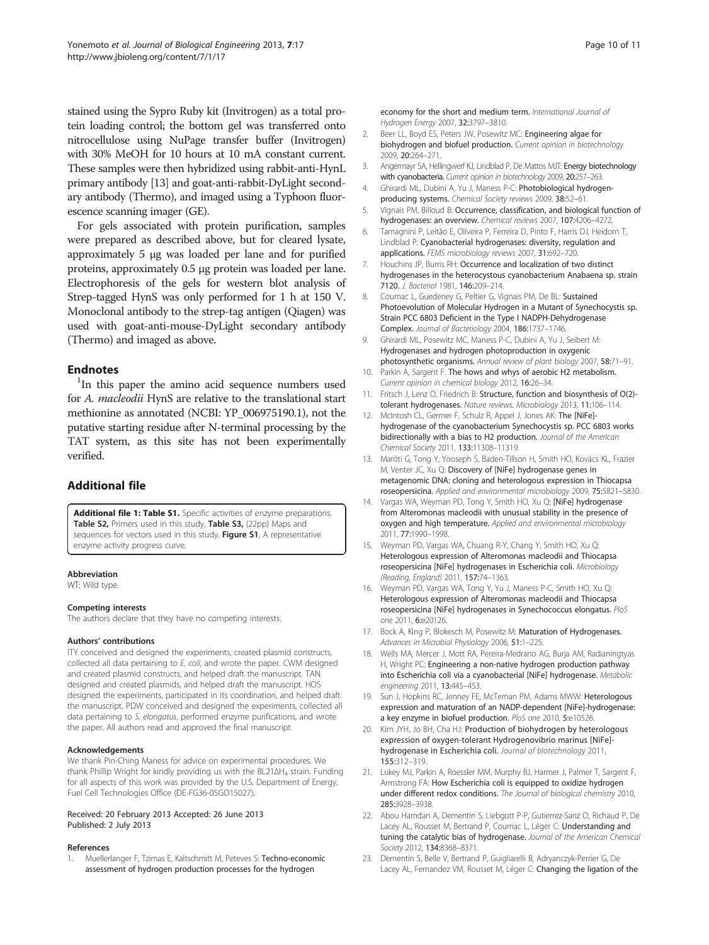<span id="page-9-0"></span>stained using the Sypro Ruby kit (Invitrogen) as a total protein loading control; the bottom gel was transferred onto nitrocellulose using NuPage transfer buffer (Invitrogen) with 30% MeOH for 10 hours at 10 mA constant current. These samples were then hybridized using rabbit-anti-HynL primary antibody [13] and goat-anti-rabbit-DyLight secondary antibody (Thermo), and imaged using a Typhoon fluorescence scanning imager (GE).

For gels associated with protein purification, samples were prepared as described above, but for cleared lysate, approximately 5 μg was loaded per lane and for purified proteins, approximately 0.5 μg protein was loaded per lane. Electrophoresis of the gels for western blot analysis of Strep-tagged HynS was only performed for 1 h at 150 V. Monoclonal antibody to the strep-tag antigen (Qiagen) was used with goat-anti-mouse-DyLight secondary antibody (Thermo) and imaged as above.

### **Endnotes**

<sup>1</sup>In this paper the amino acid sequence numbers used for A. macleodii HynS are relative to the translational start methionine as annotated (NCBI: YP\_006975190.1), not the putative starting residue after N-terminal processing by the TAT system, as this site has not been experimentally verified.

# Additional file

[Additional file 1: Table S1.](http://www.biomedcentral.com/content/supplementary/1754-1611-7-17-S1.pdf) Specific activities of enzyme preparations. Table S2, Primers used in this study. Table S3, (22pp) Maps and sequences for vectors used in this study. Figure S1, A representative enzyme activity progress curve.

# Abbreviation

WT: Wild type

#### Competing interests

The authors declare that they have no competing interests.

#### Authors' contributions

ITY conceived and designed the experiments, created plasmid constructs, collected all data pertaining to E. coli, and wrote the paper. CWM designed and created plasmid constructs, and helped draft the manuscript. TAN designed and created plasmids, and helped draft the manuscript. HOS designed the experiments, participated in its coordination, and helped draft the manuscript. PDW conceived and designed the experiments, collected all data pertaining to S. elongatus, performed enzyme purifications, and wrote the paper. All authors read and approved the final manuscript.

#### Acknowledgements

We thank Pin-Ching Maness for advice on experimental procedures. We thank Phillip Wright for kindly providing us with the BL21ΔH<sub>4</sub> strain. Funding for all aspects of this work was provided by the U.S. Department of Energy, Fuel Cell Technologies Office (DE-FG36-05GO15027).

#### Received: 20 February 2013 Accepted: 26 June 2013 Published: 2 July 2013

#### References

Muellerlanger F, Tzimas E, Kaltschmitt M, Peteves S: Techno-economic assessment of hydrogen production processes for the hydrogen

economy for the short and medium term. International Journal of Hydrogen Energy 2007, 32:3797–3810.

- 2. Beer LL, Boyd ES, Peters JW, Posewitz MC: Engineering algae for biohydrogen and biofuel production. Current opinion in biotechnology 2009, 20:264–271.
- Angermayr SA, Hellingwerf KJ, Lindblad P, De Mattos MJT: Energy biotechnology with cyanobacteria. Current opinion in biotechnology 2009, 20:257-263.
- 4. Ghirardi ML, Dubini A, Yu J, Maness P-C: Photobiological hydrogenproducing systems. Chemical Society reviews 2009, 38:52–61.
- 5. Vignais PM, Billoud B: Occurrence, classification, and biological function of hydrogenases: an overview. Chemical reviews 2007, 107:4206–4272.
- 6. Tamagnini P, Leitão E, Oliveira P, Ferreira D, Pinto F, Harris DJ, Heidorn T, Lindblad P: Cyanobacterial hydrogenases: diversity, regulation and applications. FEMS microbiology reviews 2007, 31:692–720.
- 7. Houchins JP, Burris RH: Occurrence and localization of two distinct hydrogenases in the heterocystous cyanobacterium Anabaena sp. strain 7120. J. Bacteriol 1981, 146:209–214.
- 8. Cournac L, Guedeney G, Peltier G, Vignais PM, De BL: Sustained Photoevolution of Molecular Hydrogen in a Mutant of Synechocystis sp. Strain PCC 6803 Deficient in the Type I NADPH-Dehydrogenase Complex. Journal of Bacteriology 2004, 186:1737–1746.
- 9. Ghirardi ML, Posewitz MC, Maness P-C, Dubini A, Yu J, Seibert M: Hydrogenases and hydrogen photoproduction in oxygenic photosynthetic organisms. Annual review of plant biology 2007, 58:71–91.
- 10. Parkin A, Sargent F: The hows and whys of aerobic H2 metabolism. Current opinion in chemical biology 2012, 16:26–34.
- 11. Fritsch J, Lenz O, Friedrich B: Structure, function and biosynthesis of O(2)tolerant hydrogenases. Nature reviews. Microbiology 2013, 11:106–114.
- 12. McIntosh CL, Germer F, Schulz R, Appel J, Jones AK: The [NiFe]hydrogenase of the cyanobacterium Synechocystis sp. PCC 6803 works bidirectionally with a bias to H2 production. Journal of the American Chemical Society 2011, 133:11308–11319.
- 13. Maróti G, Tong Y, Yooseph S, Baden-Tillson H, Smith HO, Kovács KL, Frazier M, Venter JC, Xu Q: Discovery of [NiFe] hydrogenase genes in metagenomic DNA: cloning and heterologous expression in Thiocapsa roseopersicina. Applied and environmental microbiology 2009, 75:5821–5830.
- 14. Vargas WA, Weyman PD, Tong Y, Smith HO, Xu Q: [NiFe] hydrogenase from Alteromonas macleodii with unusual stability in the presence of oxygen and high temperature. Applied and environmental microbiology 2011, 77:1990–1998.
- 15. Weyman PD, Vargas WA, Chuang R-Y, Chang Y, Smith HO, Xu Q: Heterologous expression of Alteromonas macleodii and Thiocapsa roseopersicina [NiFe] hydrogenases in Escherichia coli. Microbiology (Reading, England) 2011, 157:74–1363.
- 16. Weyman PD, Vargas WA, Tong Y, Yu J, Maness P-C, Smith HO, Xu Q: Heterologous expression of Alteromonas macleodii and Thiocapsa roseopersicina [NiFe] hydrogenases in Synechococcus elongatus. PloS one 2011, 6:e20126.
- 17. Bock A, King P, Blokesch M, Posewitz M: Maturation of Hydrogenases. Advances in Microbial Physiology 2006, 51:1–225.
- 18. Wells MA, Mercer J, Mott RA, Pereira-Medrano AG, Burja AM, Radianingtyas H, Wright PC: Engineering a non-native hydrogen production pathway into Escherichia coli via a cyanobacterial [NiFe] hydrogenase. Metabolic engineering 2011, 13:445-453.
- 19. Sun J, Hopkins RC, Jenney FE, McTernan PM, Adams MWW: Heterologous expression and maturation of an NADP-dependent [NiFe]-hydrogenase: a key enzyme in biofuel production. PloS one 2010, 5:e10526.
- 20. Kim JYH, Jo BH, Cha HJ: Production of biohydrogen by heterologous expression of oxygen-tolerant Hydrogenovibrio marinus [NiFe] hydrogenase in Escherichia coli. Journal of biotechnology 2011, 155:312–319.
- 21. Lukey MJ, Parkin A, Roessler MM, Murphy BJ, Harmer J, Palmer T, Sargent F, Armstrong FA: How Escherichia coli is equipped to oxidize hydrogen under different redox conditions. The Journal of biological chemistry 2010, 285:3928–3938.
- 22. Abou Hamdan A, Dementin S, Liebgott P-P, Gutierrez-Sanz O, Richaud P, De Lacey AL, Rousset M, Bertrand P, Cournac L, Léger C: Understanding and tuning the catalytic bias of hydrogenase. Journal of the American Chemical Society 2012, 134:8368–8371.
- 23. Dementin S, Belle V, Bertrand P, Guigliarelli B, Adryanczyk-Perrier G, De Lacey AL, Fernandez VM, Rousset M, Léger C: Changing the ligation of the